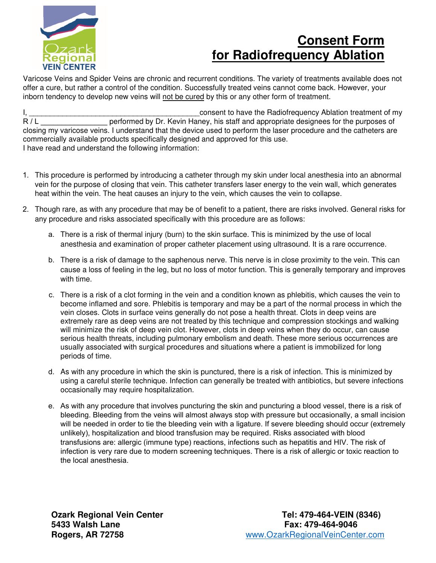

## **Consent Form for Radiofrequency Ablation**

Varicose Veins and Spider Veins are chronic and recurrent conditions. The variety of treatments available does not offer a cure, but rather a control of the condition. Successfully treated veins cannot come back. However, your inborn tendency to develop new veins will not be cured by this or any other form of treatment.

I, \_\_\_\_\_\_\_\_\_\_\_\_\_\_\_\_\_\_\_\_\_\_\_\_\_\_\_\_\_\_\_\_\_\_\_\_\_\_\_\_\_consent to have the Radiofrequency Ablation treatment of my performed by Dr. Kevin Haney, his staff and appropriate designees for the purposes of closing my varicose veins. I understand that the device used to perform the laser procedure and the catheters are commercially available products specifically designed and approved for this use. I have read and understand the following information:

- 1. This procedure is performed by introducing a catheter through my skin under local anesthesia into an abnormal vein for the purpose of closing that vein. This catheter transfers laser energy to the vein wall, which generates heat within the vein. The heat causes an injury to the vein, which causes the vein to collapse.
- 2. Though rare, as with any procedure that may be of benefit to a patient, there are risks involved. General risks for any procedure and risks associated specifically with this procedure are as follows:
	- a. There is a risk of thermal injury (burn) to the skin surface. This is minimized by the use of local anesthesia and examination of proper catheter placement using ultrasound. It is a rare occurrence.
	- b. There is a risk of damage to the saphenous nerve. This nerve is in close proximity to the vein. This can cause a loss of feeling in the leg, but no loss of motor function. This is generally temporary and improves with time.
	- c. There is a risk of a clot forming in the vein and a condition known as phlebitis, which causes the vein to become inflamed and sore. Phlebitis is temporary and may be a part of the normal process in which the vein closes. Clots in surface veins generally do not pose a health threat. Clots in deep veins are extremely rare as deep veins are not treated by this technique and compression stockings and walking will minimize the risk of deep vein clot. However, clots in deep veins when they do occur, can cause serious health threats, including pulmonary embolism and death. These more serious occurrences are usually associated with surgical procedures and situations where a patient is immobilized for long periods of time.
	- d. As with any procedure in which the skin is punctured, there is a risk of infection. This is minimized by using a careful sterile technique. Infection can generally be treated with antibiotics, but severe infections occasionally may require hospitalization.
	- e. As with any procedure that involves puncturing the skin and puncturing a blood vessel, there is a risk of bleeding. Bleeding from the veins will almost always stop with pressure but occasionally, a small incision will be needed in order to tie the bleeding vein with a ligature. If severe bleeding should occur (extremely unlikely), hospitalization and blood transfusion may be required. Risks associated with blood transfusions are: allergic (immune type) reactions, infections such as hepatitis and HIV. The risk of infection is very rare due to modern screening techniques. There is a risk of allergic or toxic reaction to the local anesthesia.